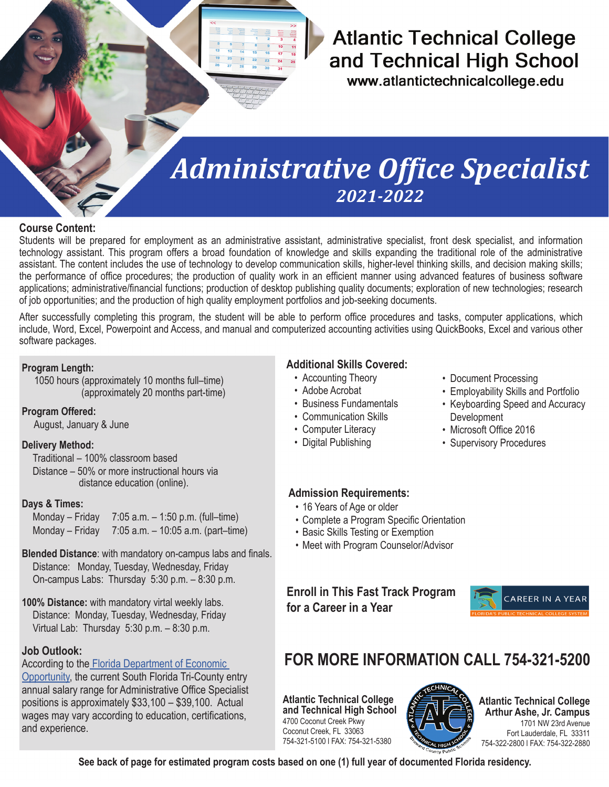# **Atlantic Technical College** and Technical High School

www.atlantictechnicalcollege.edu

# *Administrative Office Specialist 2021-2022*

## **Course Content:**

Students will be prepared for employment as an administrative assistant, administrative specialist, front desk specialist, and information technology assistant. This program offers a broad foundation of knowledge and skills expanding the traditional role of the administrative assistant. The content includes the use of technology to develop communication skills, higher-level thinking skills, and decision making skills; the performance of office procedures; the production of quality work in an efficient manner using advanced features of business software applications; administrative/financial functions; production of desktop publishing quality documents; exploration of new technologies; research of job opportunities; and the production of high quality employment portfolios and job-seeking documents.

After successfully completing this program, the student will be able to perform office procedures and tasks, computer applications, which include, Word, Excel, Powerpoint and Access, and manual and computerized accounting activities using QuickBooks, Excel and various other software packages.

### **Program Length:**

 1050 hours (approximately 10 months full–time) (approximately 20 months part-time)

### **Program Offered:**

August, January & June

### **Delivery Method:**

Traditional – 100% classroom based Distance – 50% or more instructional hours via distance education (online).

### **Days & Times:**

Monday – Friday 7:05 a.m. – 1:50 p.m. (full–time) Monday – Friday 7:05 a.m. – 10:05 a.m. (part–time)

- **Blended Distance**: with mandatory on-campus labs and finals. Distance: Monday, Tuesday, Wednesday, Friday On-campus Labs: Thursday 5:30 p.m. – 8:30 p.m.
- **100% Distance:** with mandatory virtal weekly labs. Distance: Monday, Tuesday, Wednesday, Friday Virtual Lab: Thursday 5:30 p.m. – 8:30 p.m.

# **Job Outlook:**

According to th[e Florida Department of Economic](https://floridajobs.org/workforce-statistics/data-center/statistical-programs/occupational-employment-statistics-and-wages) 

[Opportunity](https://floridajobs.org/workforce-statistics/data-center/statistical-programs/occupational-employment-statistics-and-wages), the current South Florida Tri-County entry annual salary range for Administrative Office Specialist positions is approximately \$33,100 – \$39,100. Actual wages may vary according to education, certifications, and experience.

## **Additional Skills Covered:**

- Accounting Theory
- Adobe Acrobat
- Business Fundamentals
- Communication Skills
- Computer Literacy
- Digital Publishing
- Document Processing
- Employability Skills and Portfolio
- Keyboarding Speed and Accuracy Development
- Microsoft Office 2016
- Supervisory Procedures

### **Admission Requirements:**

- 16 Years of Age or older
- Complete a Program Specific Orientation
- Basic Skills Testing or Exemption
- Meet with Program Counselor/Advisor

# **Enroll in This Fast Track Program for a Career in a Year**



# **FOR MORE INFORMATION CALL 754-321-5200**

**Atlantic Technical College and Technical High School** 4700 Coconut Creek Pkwy Coconut Creek, FL 33063 754-321-5100 l FAX: 754-321-5380



**Atlantic Technical College Arthur Ashe, Jr. Campus** 1701 NW 23rd Avenue Fort Lauderdale, FL 33311 754-322-2800 l FAX: 754-322-2880

**See back of page for estimated program costs based on one (1) full year of documented Florida residency.**